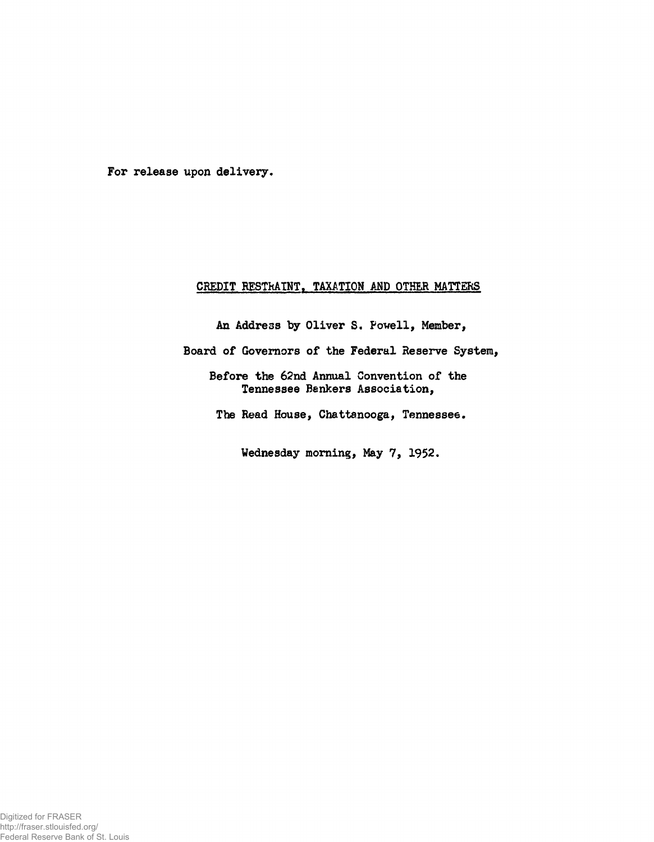For release upon delivery.

## CREDIT RESTRAINT, TAXATION AND OTHER MATTERS

An Address by Oliver S. Powell, Member, Board of Governors of the Federal Reserve System, Before the 62nd Annual Convention of the Tennessee Bankers Association,

The Read House, Chattanooga, Tennessee.

Wednesday morning, May 7, 1952.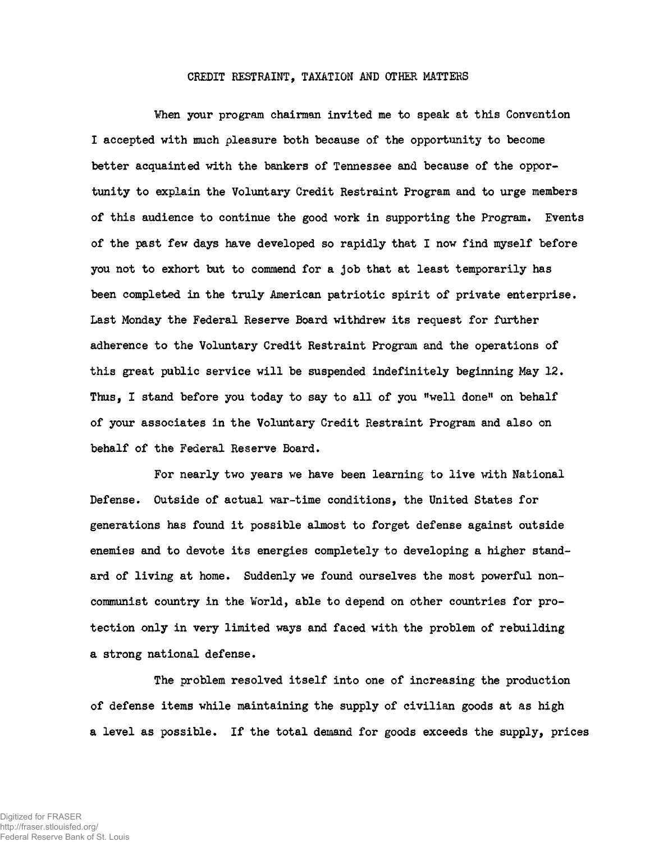## CREDIT RESTRAINT, TAXATION AND OTHER MATTERS

When your program chairman invited me to speak at this Convention I accepted with much pleasure both because of the opportunity to become better acquainted with the bankers of Tennessee and because of the opportunity to explain the Voluntary Credit Restraint Program and to urge members of this audience to continue the good work in supporting the Program. Events of the past few days have developed so rapidly that I now find myself before you not to exhort but to commend for a job that at least temporarily has been completed in the truly American patriotic spirit of private enterprise. Last Monday the Federal Reserve Board withdrew its request for further adherence to the Voluntary Credit Restraint Program and the operations of this great public service will be suspended indefinitely beginning May 12. Thus, I stand before you today to say to all of you "well done" on behalf of your associates in the Voluntary Credit Restraint Program and also on behalf of the Federal Reserve Board.

For nearly two years we have been learning to live with National Defense. Outside of actual war-time conditions, the United States for generations has found it possible almost to forget defense against outside enemies and to devote its energies completely to developing a higher standard of living at home. Suddenly we found ourselves the most powerful noncommunist country in the World, able to depend on other countries for protection only in very limited ways and faced with the problem of rebuilding a strong national defense.

The problem resolved itself into one of increasing the production of defense items while maintaining the supply of civilian goods at as high a level as possible. If the total demand for goods exceeds the supply, prices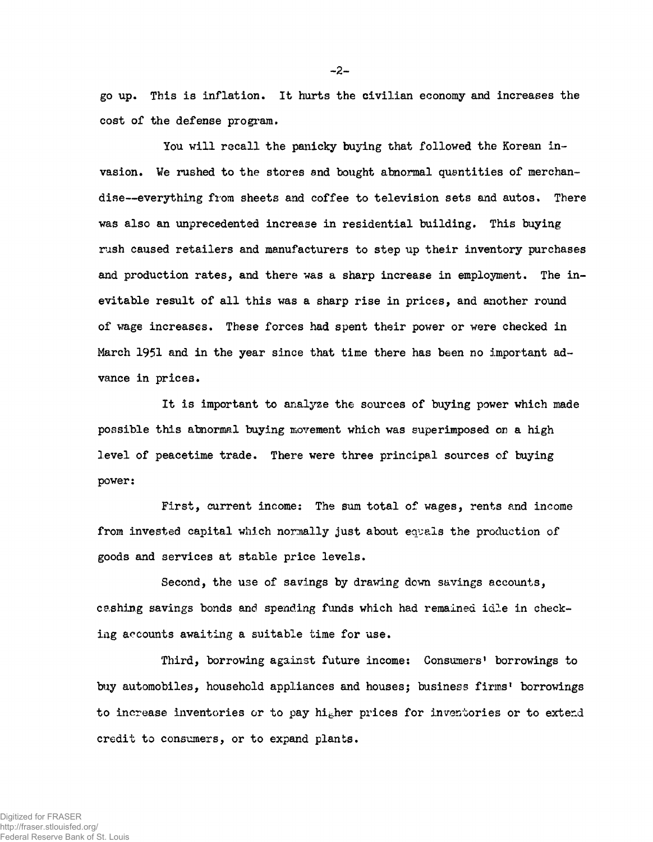go up. This is inflation. It hurts the civilian economy and increases the cost of the defense program.

You will recall the panicky buying that followed the Korean invasion. We rushed to the stores and bought abnormal quantities of merchandise— everything from sheets and coffee to television sets and autos. There was also an unprecedented increase in residential building. This buying rush caused retailers and manufacturers to step up their inventory purchases and production rates, and there was a sharp increase in employment. The inevitable result of all this was a sharp rise in prices, and another round of wage increases. These forces had spent their power or were checked in March 1951 and in the year since that time there has been no important advance in prices.

It is important to analyze the sources of buying power which made possible this abnormal buying movement which was superimposed on a high level of peacetime trade. There were three principal sources of buying power:

First, current income: The sum total of wages, rents and income from invested capital which normally just about equals the production of goods and services at stable price levels.

Second, the use of savings by drawing down savings accounts, cashing savings bonds and spending funds which had remained idle in checking accounts awaiting a suitable time for use.

Third, borrowing against future income: Consumers' borrowings to buy automobiles, household appliances and housesj business firms' borrowings to increase inventories or to pay higher prices for inventories or to extend credit to consumers, or to expand plants.

-2-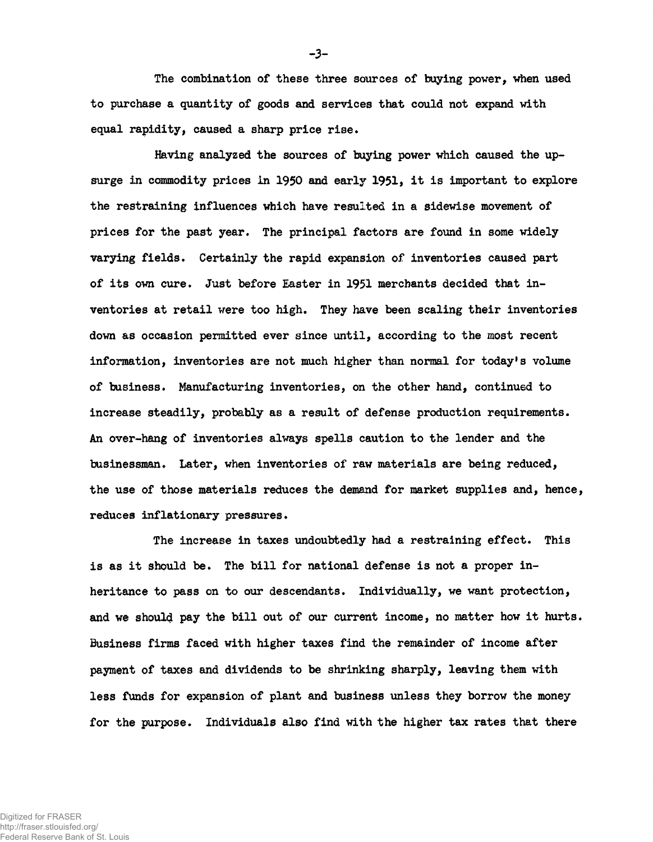The combination of these three sources of buying power, when used to purchase a quantity of goods and services that could not expand with equal rapidity, caused a sharp price rise.

Having analyzed the sources of baying power which caused the upsurge in commodity prices in 1950 and early 1951, it is important to explore the restraining influences which have resulted in a sidewise movement of prices for the past year. The principal factors are found in some widely varying fields. Certainly the rapid expansion of inventories caused part of its own cure. Just before Easter in 1951 merchants decided that inventories at retail were too high. They have been scaling their inventories down as occasion permitted ever since until, according to the most recent information, inventories are not much higher than normal for today's volume of business. Manufacturing inventories, on the other hand, continued to increase steadily, probably as a result of defense production requirements. An over-hang of inventories always spells caution to the lender and the businessman. Later, when inventories of raw materials are being reduced, the use of those materials reduces the demand for market supplies and, hence, reduces inflationary pressures.

The increase in taxes undoubtedly had a restraining effect. This is as it should be. The bill for national defense is not a proper inheritance to pass on to our descendants. Individually, we want protection, and we should pay the bill out of our current income, no matter how it hurts. Business firms faced with higher taxes find the remainder of income after payment of taxes and dividends to be shrinking sharply, leaving them with less funds for expansion of plant and business unless they borrow the money for the purpose. Individuals also find with the higher tax rates that there

Digitized for FRASER http://fraser.stlouisfed.org/ Federal Reserve Bank of St. Louis -3-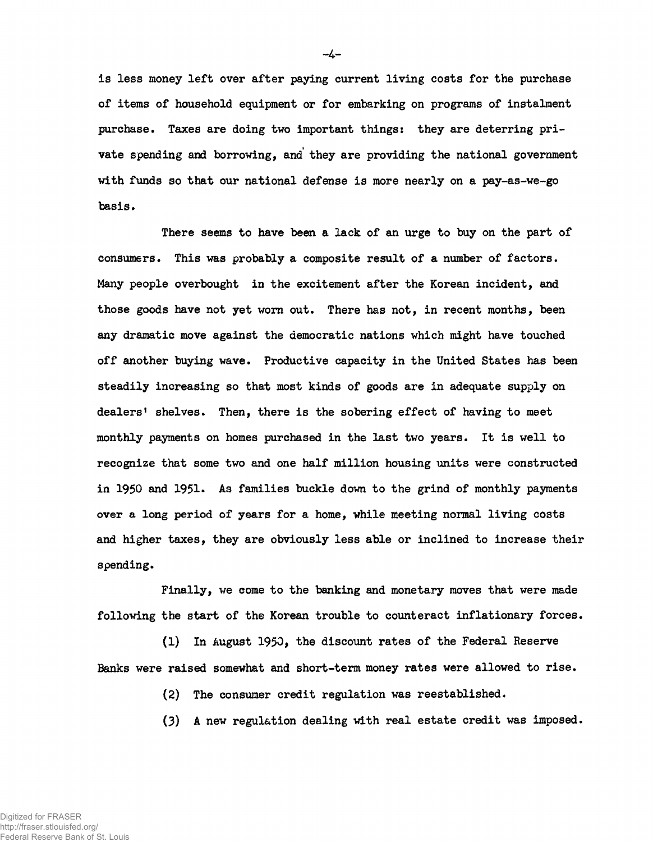is less money left over after paying current living costs for the purchase of items of household equipment or for embarking on programs of instalment purchase. Taxes are doing two important things: they are deterring private spending and borrowing, and they are providing the national government with funds so that our national defense is more nearly on a pay-as-we-go basis.

There seems to have been a lack of an urge to buy on the part of consumers. This was probably a composite result of a number of factors. Many people overbought in the excitement after the Korean incident, and those goods have not yet worn out. There has not, in recent months, been any dramatic move against the democratic nations which might have touched off another buying wave. Productive capacity in the United States has been steadily increasing so that most kinds of goods are in adequate supply on dealers' shelves. Then, there is the sobering effect of having to meet monthly payments on homes purchased in the last two years. It is well to recognize that some two and one half million housing units were constructed in 1950 and 1951. As families buckle down to the grind of monthly payments over a long period of years for a home, while meeting normal living costs and higher taxes, they are obviously less able or inclined to increase their spending.

Finally, we come to the banking and monetary moves that were made following the start of the Korean trouble to counteract inflationary forces.

(1) In August 1950, the discount rates of the Federal Reserve Banks were raised somewhat and short-term money rates were allowed to rise.

- (2) The consumer credit regulation was reestablished.
- (3) A new regulation dealing with real estate credit was imposed.

- **4**-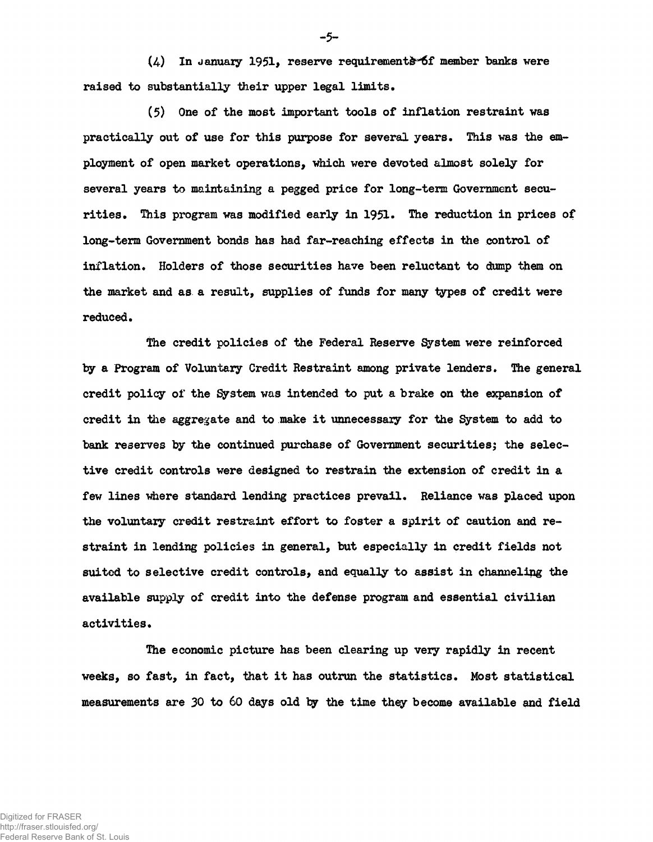$(4)$  In January 1951, reserve requirements of member banks were raised to substantially their upper legal limits.

(5) One of the most important tools of inflation restraint was practically out of use for this purpose for several years. This was the employment of open market operations, which were devoted almost solely for several years to maintaining a pegged price for long-term Government securities. This program was modified early in 1951. The reduction in prices of long-term Government bonds has had far-reaching effects in the control of inflation. Holders of those securities have been reluctant to dump them on the market and as a result, supplies of funds for many types of credit were reduced.

The credit policies of the Federal Reserve System were reinforced by a Program of Voluntary Credit Restraint among private lenders. The general credit policy of the System was intended to put a brake on the expansion of credit in the aggregate and to make it unnecessary for the System to add to bank reserves by the continued purchase of Government securities; the selective credit controls were designed to restrain the extension of credit in a few lines where standard lending practices prevail. Reliance was placed upon the voluntary credit restraint effort to foster a spirit of caution and restraint in lending policies in general, but especially in credit fields not suited to selective credit controls, and equally to assist in channeling the available supply of credit into the defense program and essential civilian activities.

The economic picture has been clearing up very rapidly in recent weeks, so fast, in fact, that it has outrun the statistics. Most statistical measurements are 30 to 60 days old by the time they become available and field

-5-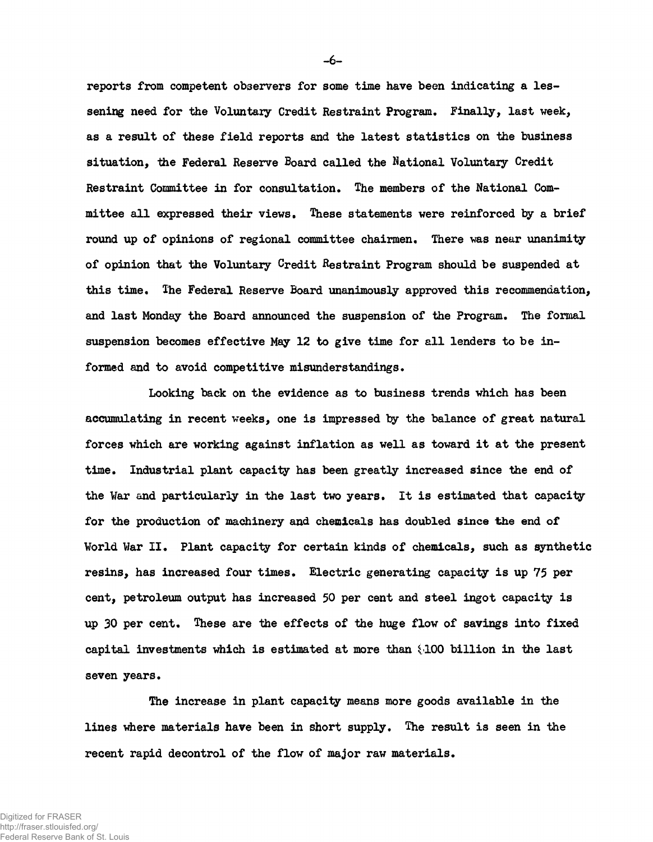reports from competent observers for some time have been indicating a lessening need for the Voluntary Credit Restraint Program. Finally, last week, as a result of these field reports and the latest statistics on the business situation, the Federal Reserve Board called the National Voluntary Credit Restraint Committee in for consultation. The members of the National Committee all expressed their views. These statements were reinforced by a brief round up of opinions of regional committee chairmen. There was near unanimity of opinion that the Voluntary Credit Restraint Program should be suspended at this time. The Federal Reserve Board unanimously approved this recommendation, and last Monday the Board announced the suspension of the Program. The formal suspension becomes effective May 12 to give time for all lenders to be informed and to avoid competitive misunderstandings.

Looking back on the evidence as to business trends which has been accumulating in recent weeks, one is impressed by the balance of great natural forces which are working against inflation as well as toward it at the present time. Industrial plant capacity has been greatly increased since the end of the War and particularly in the last two years. It is estimated that capacity for the production of machinery and chemicals has doubled since the end of World War II. Plant capacity for certain kinds of chemicals, such as synthetic resins, has increased four times. Electric generating capacity is up 75 per cent, petroleum output has increased 50 per cent and steel ingot capacity is up 30 per cent. These are the effects of the huge flow of savings into fixed capital investments which is estimated at more than  $(100$  billion in the last seven years.

The increase in plant capacity means more goods available in the lines where materials have been in short supply. The result is seen in the recent rapid decontrol of the flow of major raw materials.

—6—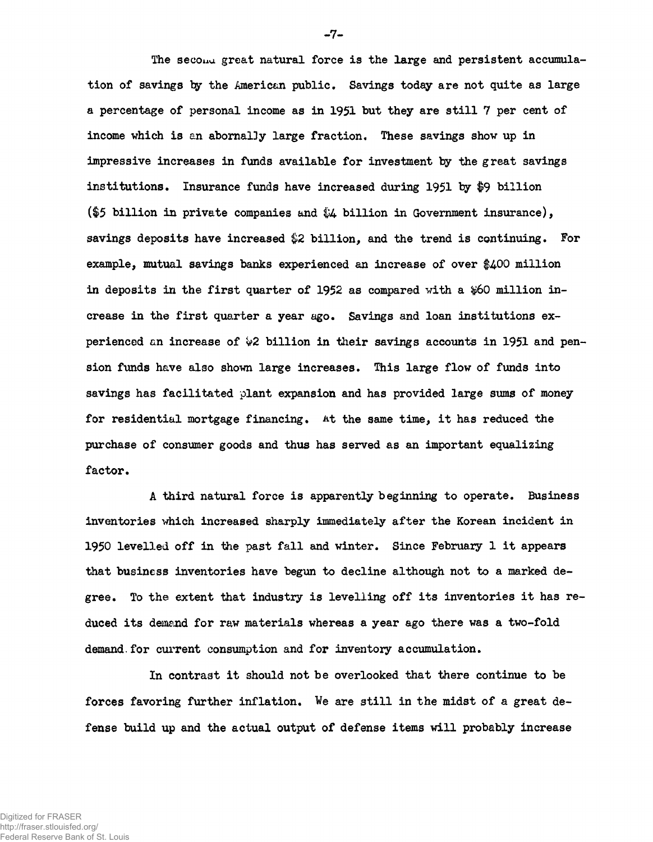The secona great natural force is the large and persistent accumulation of savings ty the American public. Savings today are not quite as large a percentage of personal income as in 1951 but they are still 7 per cent of income vhich is an abornally large fraction. These savings show up in impressive increases in funds available for investment by the great savings institutions. Insurance funds have increased during 1951 by \$9 billion (\$5 billion in private companies and \$4 billion in Government insurance), savings deposits have increased \$2 billion, and the trend is continuing. For example, mutual savings banks experienced an increase of over  $$400$  million in deposits in the first quarter of  $1952$  as compared with a  $$60$  million increase in the first quarter a year ago. Savings and loan institutions experienced an increase of  $\frac{1}{2}$  billion in their savings accounts in 1951 and pension funds have also shown large increases. This large flow of funds into savings has facilitated plant expansion and has provided large sums of money for residential mortgage financing. At the same time, it has reduced the purchase of consumer goods and thus has served as an important equalizing factor.

A third natural force is apparently beginning to operate. Business inventories which increased sharply immediately after the Korean incident in 1950 levelled off in the past fall and winter. Since February 1 it appears that business inventories have begun to decline although not to a marked degree. To the extent that industry is levelling off its inventories it has reduced its demand for raw materials whereas a year ago there was a two-fold demand. for current consumption and for inventory accumulation.

In contrast it should not be overlooked that there continue to be forces favoring further inflation. We are 3till in the midst of a great defense build up and the actual output of defense items will probably increase

-7-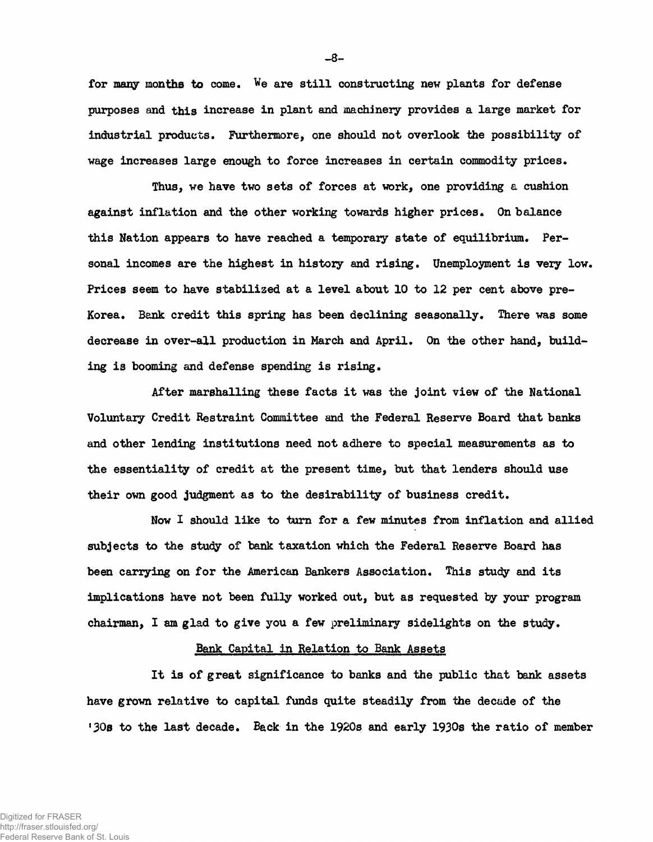for many months to come. We are still constructing new plants for defense purposes and this increase in plant and machinery provides a large market for industrial products. Furthermore, one should not overlook the possibility of wage increases large enough to force increases in certain commodity prices.

Thus, we have two sets of forces at work, one providing a cushion against inflation and the other working towards higher prices. On balance this Nation appears to have readied a temporary state of equilibrium. Personal incomes are the highest in history and rising. Unemployment is very low. Prices seem to have stabilized at a level about 10 to 12 per cent above pre-Korea. Bank credit this spring has been declining seasonally. There was some decrease in over-all production in March and April. On the other hand, building is booming and defense spending is rising.

After marshalling these facts it was the joint view of the National Voluntary Credit Restraint Committee and the Federal Reserve Board that banks and other lending institutions need not adhere to special measurements as to the essentiality of credit at the present time, but that lenders should use their own good judgment as to the desirability of business credit.

Now I should like to turn for a few minutes from inflation and allied subjects to the study of bank taxation which the Federal Reserve Board has been carrying on for the American Bankers Association. This study and its implications have not been fully worked out, but as requested by your program chairman, I am glad to give you a few preliminary sidelights on the study.

## Bank Capital in Relation to Bank Assets

It is of great significance to banks and the public that bank assets have grown relative to capital funds quite steadily from the decade of the '30s to the last decade. Back in the 1920s and early 1930s the ratio of member

-8-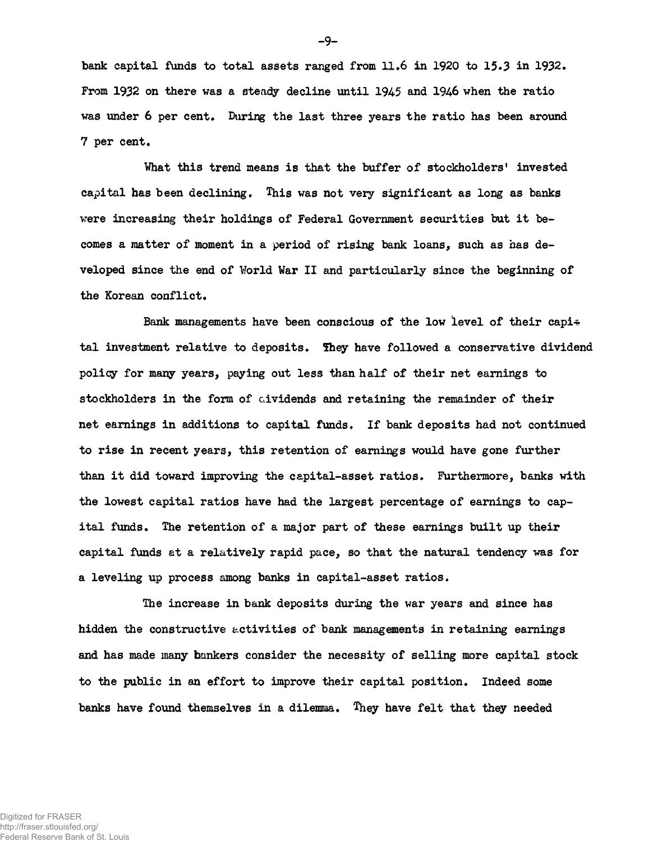bank capital funds to total assets ranged from 11.6 in 1920 to 15.3 in 1932. From 1932 on there was a steady decline until 1945 and 1946 when the ratio was under 6 per cent. During the last three years the ratio has been around 7 per cent.

What this trend means is that the buffer of stockholders' invested capital has been declining. This was not very significant as long as banks were increasing their holdings of Federal Government securities but it becomes a matter of moment in a period of rising bank loans, such as has developed since the end of World War II and particularly since the beginning of the Korean conflict.

Bank managements have been conscious of the low level of their capi $\div$ tal investment relative to deposits. 5hey have followed a conservative dividend policy for many years, paying out less than half of their net earnings to stockholders in the form of cividends and retaining the remainder of their net earnings in additions to capital funds. If bank deposits had not continued to rise in recent years, this retention of earnings would have gone further than it did toward improving the capital-asset ratios. Furthermore, banks with the lowest capital ratios have had the largest percentage of earnings to capital funds. The retention of a major part of these earnings built up their capital funds at a relatively rapid pace, so that the natural tendency was for a leveling up process among banks in capital-asset ratios.

The increase in bank deposits during the war years and since has hidden the constructive activities of bank managements in retaining earnings and has made many bankers consider the necessity of selling more capital stock to the public in an effort to improve their capital position. Indeed some banks have found themselves in a dilemma. They have felt that they needed

-9-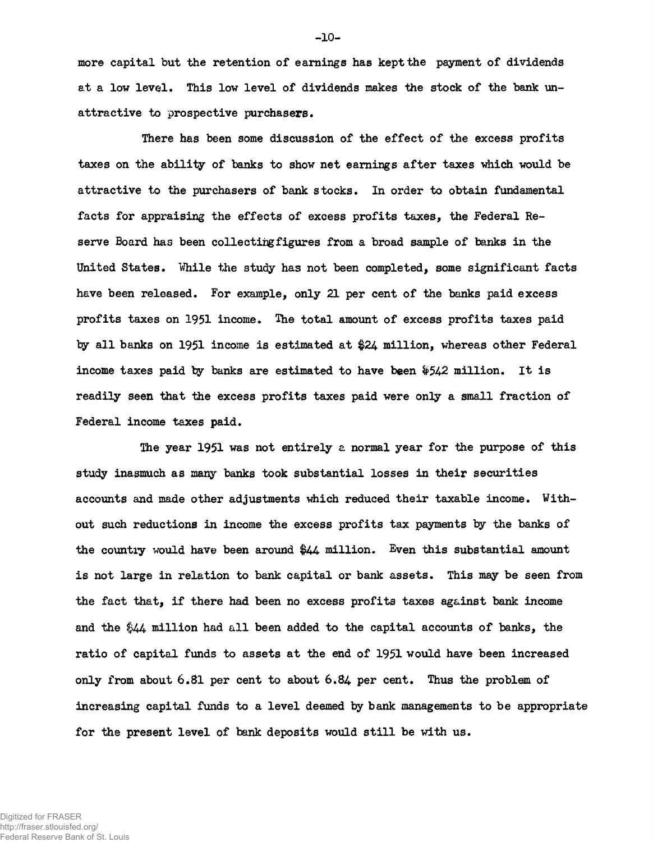more capital but the retention of earnings has kept the payment of dividends at a low level. This low level of dividends makes the stock of the bank unattractive to prospective purchasers.

There has been some discussion of the effect of the excess profits taxes on the ability of banks to show net earnings after taxes which would be attractive to the purchasers of bank stocks. In order to obtain fundamental facts for appraising the effects of excess profits taxes, the Federal Reserve Board has been collecting figures from a broad sample of banks in the United States. While the study has not been completed, some significant facts have been released. For example, only 21 per cent of the banks paid excess profits taxes on 1951 income. The total amount of excess profits taxes paid by all banks on 1951 income is estimated at \$24 million, whereas other Federal income taxes paid by banks are estimated to have been &542 million. It is readily seen that the excess profits taxes paid were only a small fraction of Federal income taxes paid.

The year 1951 was not entirely a normal year for the purpose of this study inasmuch as many banks took substantial losses in their securities accounts and made other adjustments which reduced their taxable income. Without such reductions in income the excess profits tax payments by the banks of the country would have been around \$44 million. Even this substantial amount is not large in relation to bank capital or bank assets. This may be seen from the fact that, if there had been no excess profits taxes against bank income and the \$44- million had all been added to the capital accounts of banks, the ratio of capital funds to assets at the end of 1951 would have been increased only from about 6.81 per cent to about **6.84** per cent. Thus the problem of increasing capital funds to a level deemed by bank managements to be appropriate for the present level of bank deposits would still be with us.

Digitized for FRASER http://fraser.stlouisfed.org/ Federal Reserve Bank of St. Louis  $-10-$